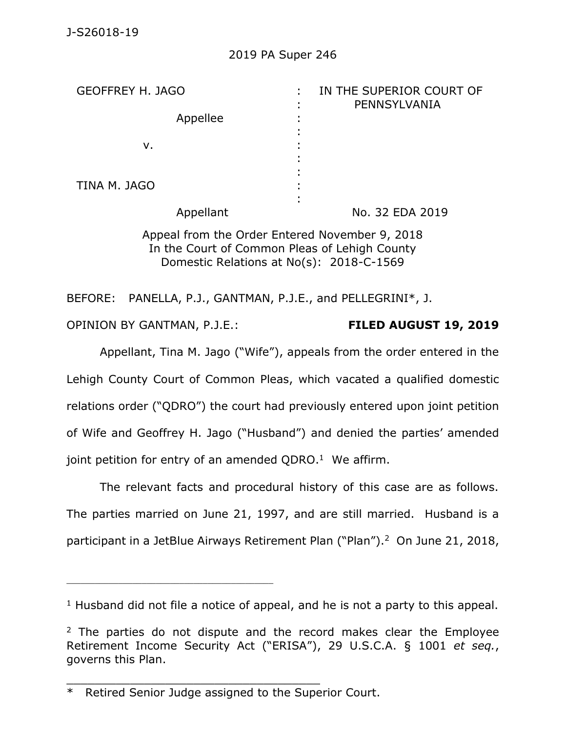| <b>GEOFFREY H. JAGO</b> | IN THE SUPERIOR COURT OF<br>PENNSYLVANIA                                                                                                                                                                                                                                                         |
|-------------------------|--------------------------------------------------------------------------------------------------------------------------------------------------------------------------------------------------------------------------------------------------------------------------------------------------|
| Appellee                |                                                                                                                                                                                                                                                                                                  |
| v.                      |                                                                                                                                                                                                                                                                                                  |
| TINA M. JAGO            |                                                                                                                                                                                                                                                                                                  |
| Appellant               | No. 32 EDA 2019                                                                                                                                                                                                                                                                                  |
|                         | $\mathbf{A}$ and $\mathbf{A}$ and $\mathbf{A}$ and $\mathbf{A}$ and $\mathbf{A}$ and $\mathbf{A}$ and $\mathbf{A}$ and $\mathbf{A}$ and $\mathbf{A}$ and $\mathbf{A}$ and $\mathbf{A}$ and $\mathbf{A}$ and $\mathbf{A}$ and $\mathbf{A}$ and $\mathbf{A}$ and $\mathbf{A}$ and $\mathbf{A}$ and |

Appeal from the Order Entered November 9, 2018 In the Court of Common Pleas of Lehigh County Domestic Relations at No(s): 2018-C-1569

BEFORE: PANELLA, P.J., GANTMAN, P.J.E., and PELLEGRINI\*, J.

OPINION BY GANTMAN, P.J.E.: **FILED AUGUST 19, 2019**

Appellant, Tina M. Jago ("Wife"), appeals from the order entered in the Lehigh County Court of Common Pleas, which vacated a qualified domestic relations order ("QDRO") the court had previously entered upon joint petition of Wife and Geoffrey H. Jago ("Husband") and denied the parties' amended joint petition for entry of an amended QDRO. $1$  We affirm.

The relevant facts and procedural history of this case are as follows. The parties married on June 21, 1997, and are still married. Husband is a participant in a JetBlue Airways Retirement Plan ("Plan"). 2 On June 21, 2018,

\_\_\_\_\_\_\_\_\_\_\_\_\_\_\_\_\_\_\_\_\_\_\_\_\_\_\_\_\_\_\_\_\_\_\_\_

\_\_\_\_\_\_\_\_\_\_\_\_\_\_\_\_\_\_\_\_\_\_\_\_\_\_\_\_\_\_\_\_\_\_\_\_\_\_\_\_\_\_\_\_

 $1$  Husband did not file a notice of appeal, and he is not a party to this appeal.

 $2$  The parties do not dispute and the record makes clear the Employee Retirement Income Security Act ("ERISA"), 29 U.S.C.A. § 1001 *et seq.*, governs this Plan.

<sup>\*</sup> Retired Senior Judge assigned to the Superior Court.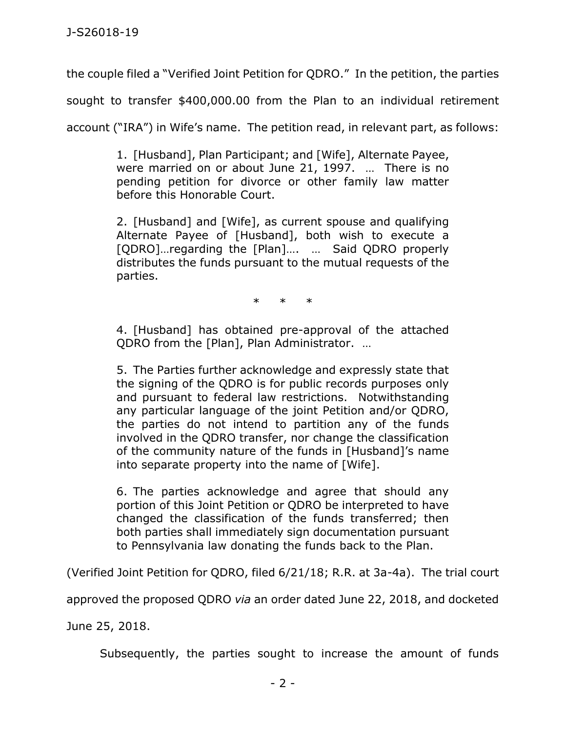the couple filed a "Verified Joint Petition for QDRO." In the petition, the parties

sought to transfer \$400,000.00 from the Plan to an individual retirement

account ("IRA") in Wife's name. The petition read, in relevant part, as follows:

1. [Husband], Plan Participant; and [Wife], Alternate Payee, were married on or about June 21, 1997. … There is no pending petition for divorce or other family law matter before this Honorable Court.

2. [Husband] and [Wife], as current spouse and qualifying Alternate Payee of [Husband], both wish to execute a [QDRO]…regarding the [Plan]…. … Said QDRO properly distributes the funds pursuant to the mutual requests of the parties.

\* \* \*

4. [Husband] has obtained pre-approval of the attached QDRO from the [Plan], Plan Administrator. …

5. The Parties further acknowledge and expressly state that the signing of the QDRO is for public records purposes only and pursuant to federal law restrictions. Notwithstanding any particular language of the joint Petition and/or QDRO, the parties do not intend to partition any of the funds involved in the QDRO transfer, nor change the classification of the community nature of the funds in [Husband]'s name into separate property into the name of [Wife].

6. The parties acknowledge and agree that should any portion of this Joint Petition or QDRO be interpreted to have changed the classification of the funds transferred; then both parties shall immediately sign documentation pursuant to Pennsylvania law donating the funds back to the Plan.

(Verified Joint Petition for QDRO, filed 6/21/18; R.R. at 3a-4a). The trial court

approved the proposed QDRO *via* an order dated June 22, 2018, and docketed

June 25, 2018.

Subsequently, the parties sought to increase the amount of funds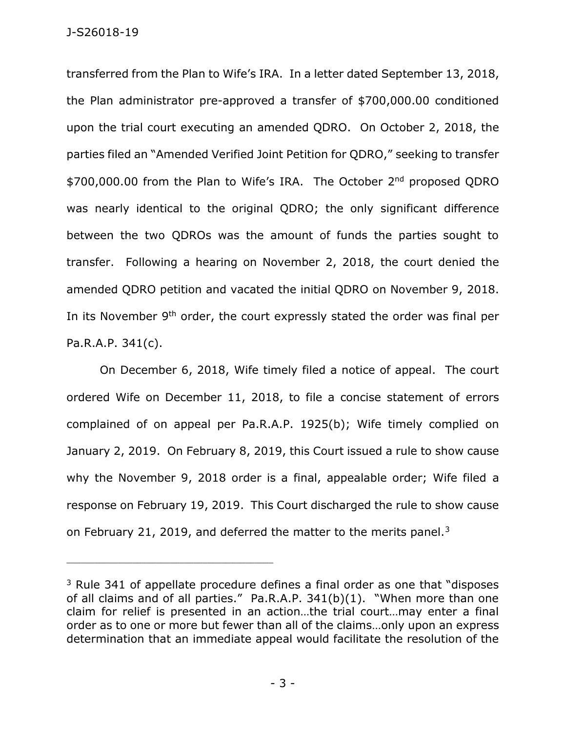transferred from the Plan to Wife's IRA. In a letter dated September 13, 2018, the Plan administrator pre-approved a transfer of \$700,000.00 conditioned upon the trial court executing an amended QDRO. On October 2, 2018, the parties filed an "Amended Verified Joint Petition for QDRO," seeking to transfer \$700,000.00 from the Plan to Wife's IRA. The October 2<sup>nd</sup> proposed QDRO was nearly identical to the original QDRO; the only significant difference between the two QDROs was the amount of funds the parties sought to transfer. Following a hearing on November 2, 2018, the court denied the amended QDRO petition and vacated the initial QDRO on November 9, 2018. In its November 9th order, the court expressly stated the order was final per Pa.R.A.P. 341(c).

On December 6, 2018, Wife timely filed a notice of appeal. The court ordered Wife on December 11, 2018, to file a concise statement of errors complained of on appeal per Pa.R.A.P. 1925(b); Wife timely complied on January 2, 2019. On February 8, 2019, this Court issued a rule to show cause why the November 9, 2018 order is a final, appealable order; Wife filed a response on February 19, 2019. This Court discharged the rule to show cause on February 21, 2019, and deferred the matter to the merits panel.<sup>3</sup>

\_\_\_\_\_\_\_\_\_\_\_\_\_\_\_\_\_\_\_\_\_\_\_\_\_\_\_\_\_\_\_\_\_\_\_\_\_\_\_\_\_\_\_\_

 $3$  Rule 341 of appellate procedure defines a final order as one that "disposes" of all claims and of all parties." Pa.R.A.P. 341(b)(1). "When more than one claim for relief is presented in an action…the trial court…may enter a final order as to one or more but fewer than all of the claims…only upon an express determination that an immediate appeal would facilitate the resolution of the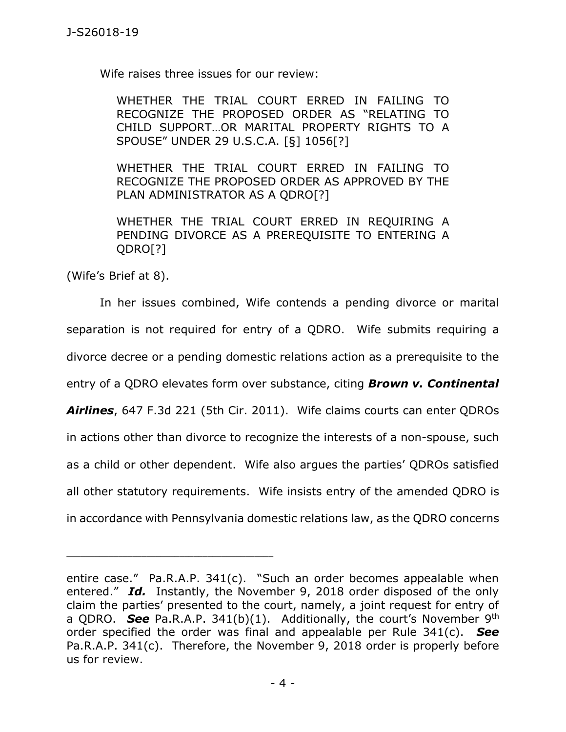Wife raises three issues for our review:

WHETHER THE TRIAL COURT ERRED IN FAILING TO RECOGNIZE THE PROPOSED ORDER AS "RELATING TO CHILD SUPPORT…OR MARITAL PROPERTY RIGHTS TO A SPOUSE" UNDER 29 U.S.C.A. [§] 1056[?]

WHETHER THE TRIAL COURT ERRED IN FAILING TO RECOGNIZE THE PROPOSED ORDER AS APPROVED BY THE PLAN ADMINISTRATOR AS A QDRO[?]

WHETHER THE TRIAL COURT ERRED IN REQUIRING A PENDING DIVORCE AS A PREREQUISITE TO ENTERING A QDRO[?]

(Wife's Brief at 8).

\_\_\_\_\_\_\_\_\_\_\_\_\_\_\_\_\_\_\_\_\_\_\_\_\_\_\_\_\_\_\_\_\_\_\_\_\_\_\_\_\_\_\_\_

In her issues combined, Wife contends a pending divorce or marital separation is not required for entry of a QDRO. Wife submits requiring a divorce decree or a pending domestic relations action as a prerequisite to the entry of a QDRO elevates form over substance, citing *Brown v. Continental Airlines*, 647 F.3d 221 (5th Cir. 2011). Wife claims courts can enter QDROs in actions other than divorce to recognize the interests of a non-spouse, such as a child or other dependent. Wife also argues the parties' QDROs satisfied all other statutory requirements. Wife insists entry of the amended QDRO is in accordance with Pennsylvania domestic relations law, as the QDRO concerns

entire case." Pa.R.A.P. 341(c). "Such an order becomes appealable when entered." *Id.* Instantly, the November 9, 2018 order disposed of the only claim the parties' presented to the court, namely, a joint request for entry of a QDRO. *See* Pa.R.A.P. 341(b)(1). Additionally, the court's November 9th order specified the order was final and appealable per Rule 341(c). *See*  Pa.R.A.P. 341(c). Therefore, the November 9, 2018 order is properly before us for review.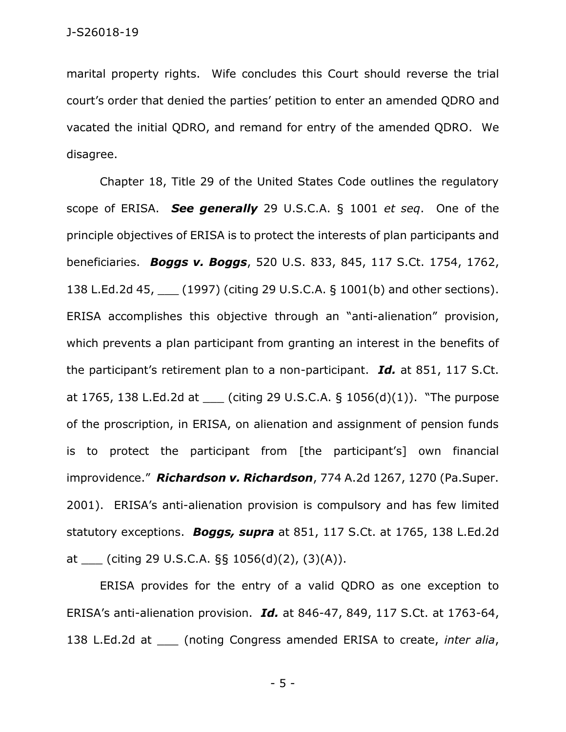marital property rights. Wife concludes this Court should reverse the trial court's order that denied the parties' petition to enter an amended QDRO and vacated the initial QDRO, and remand for entry of the amended QDRO. We disagree.

Chapter 18, Title 29 of the United States Code outlines the regulatory scope of ERISA. *See generally* 29 U.S.C.A. § 1001 *et seq*. One of the principle objectives of ERISA is to protect the interests of plan participants and beneficiaries. *Boggs v. Boggs*, 520 U.S. 833, 845, 117 S.Ct. 1754, 1762, 138 L.Ed.2d 45, [1997) (citing 29 U.S.C.A. § 1001(b) and other sections). ERISA accomplishes this objective through an "anti-alienation" provision, which prevents a plan participant from granting an interest in the benefits of the participant's retirement plan to a non-participant. *Id.* at 851, 117 S.Ct. at 1765, 138 L.Ed.2d at (citing 29 U.S.C.A.  $\S$  1056(d)(1)). "The purpose of the proscription, in ERISA, on alienation and assignment of pension funds is to protect the participant from [the participant's] own financial improvidence." *Richardson v. Richardson*, 774 A.2d 1267, 1270 (Pa.Super. 2001). ERISA's anti-alienation provision is compulsory and has few limited statutory exceptions. *Boggs, supra* at 851, 117 S.Ct. at 1765, 138 L.Ed.2d at \_\_\_ (citing 29 U.S.C.A. §§ 1056(d)(2), (3)(A)).

ERISA provides for the entry of a valid QDRO as one exception to ERISA's anti-alienation provision. *Id.* at 846-47, 849, 117 S.Ct. at 1763-64, 138 L.Ed.2d at \_\_\_ (noting Congress amended ERISA to create, *inter alia*,

- 5 -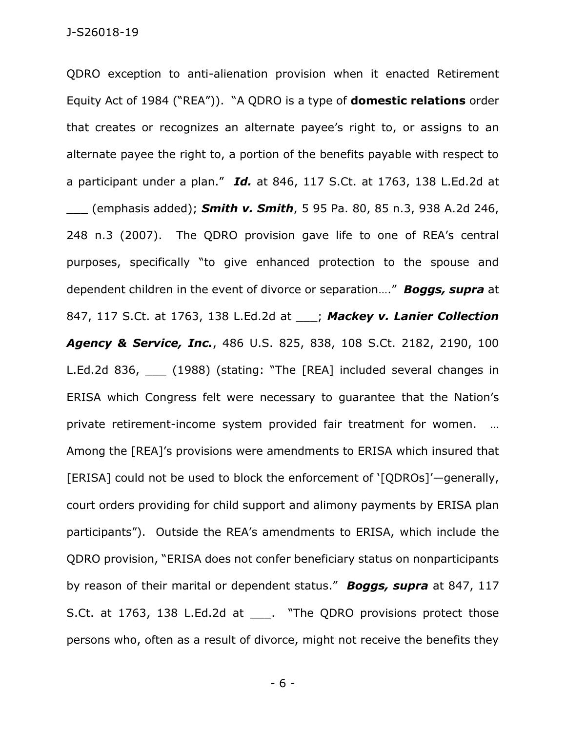QDRO exception to anti-alienation provision when it enacted Retirement Equity Act of 1984 ("REA")). "A QDRO is a type of **domestic relations** order that creates or recognizes an alternate payee's right to, or assigns to an alternate payee the right to, a portion of the benefits payable with respect to a participant under a plan." *Id.* at 846, 117 S.Ct. at 1763, 138 L.Ed.2d at \_\_\_ (emphasis added); *Smith v. Smith*, 5 95 Pa. 80, 85 n.3, 938 A.2d 246, 248 n.3 (2007). The QDRO provision gave life to one of REA's central purposes, specifically "to give enhanced protection to the spouse and dependent children in the event of divorce or separation…." *Boggs, supra* at 847, 117 S.Ct. at 1763, 138 L.Ed.2d at \_\_\_; *Mackey v. Lanier Collection Agency & Service, Inc.*, 486 U.S. 825, 838, 108 S.Ct. 2182, 2190, 100 L.Ed.2d 836, (1988) (stating: "The [REA] included several changes in ERISA which Congress felt were necessary to guarantee that the Nation's private retirement-income system provided fair treatment for women. … Among the [REA]'s provisions were amendments to ERISA which insured that [ERISA] could not be used to block the enforcement of '[QDROs]'—generally, court orders providing for child support and alimony payments by ERISA plan participants"). Outside the REA's amendments to ERISA, which include the QDRO provision, "ERISA does not confer beneficiary status on nonparticipants by reason of their marital or dependent status." *Boggs, supra* at 847, 117 S.Ct. at 1763, 138 L.Ed.2d at \_\_\_. "The QDRO provisions protect those persons who, often as a result of divorce, might not receive the benefits they

- 6 -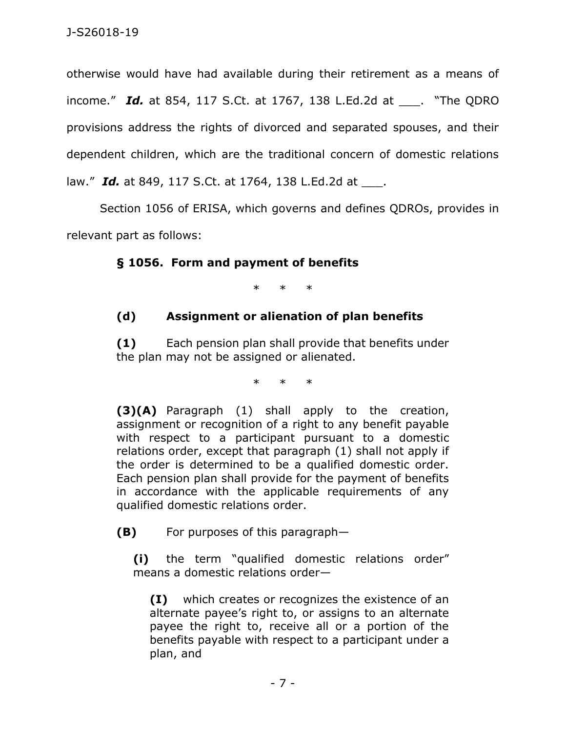otherwise would have had available during their retirement as a means of income." *Id.* at 854, 117 S.Ct. at 1767, 138 L.Ed.2d at \_\_\_. "The QDRO provisions address the rights of divorced and separated spouses, and their dependent children, which are the traditional concern of domestic relations law." *Id.* at 849, 117 S.Ct. at 1764, 138 L.Ed.2d at \_\_\_.

Section 1056 of ERISA, which governs and defines QDROs, provides in relevant part as follows:

## **§ 1056. Form and payment of benefits**

\* \* \*

## **(d) Assignment or alienation of plan benefits**

**(1)** Each pension plan shall provide that benefits under the plan may not be assigned or alienated.

\* \* \*

**(3)(A)** Paragraph (1) shall apply to the creation, assignment or recognition of a right to any benefit payable with respect to a participant pursuant to a domestic relations order, except that paragraph (1) shall not apply if the order is determined to be a qualified domestic order. Each pension plan shall provide for the payment of benefits in accordance with the applicable requirements of any qualified domestic relations order.

**(B)** For purposes of this paragraph—

**(i)** the term "qualified domestic relations order" means a domestic relations order—

**(I)** which creates or recognizes the existence of an alternate payee's right to, or assigns to an alternate payee the right to, receive all or a portion of the benefits payable with respect to a participant under a plan, and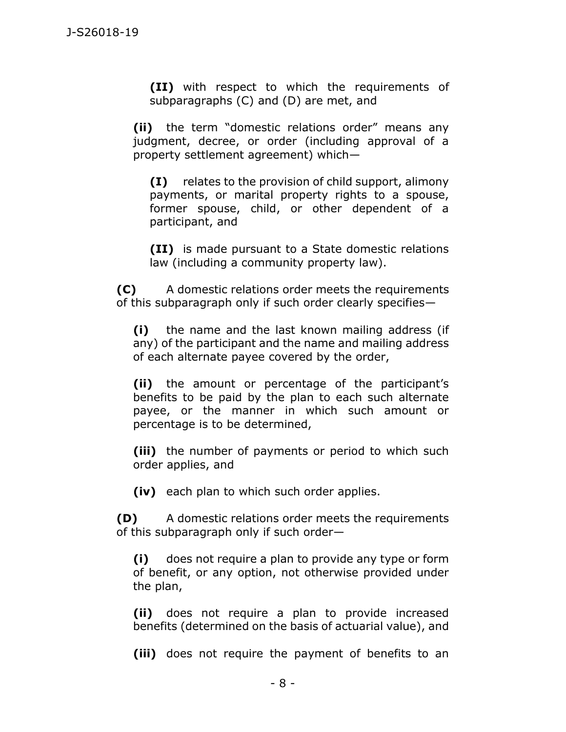**(II)** with respect to which the requirements of subparagraphs (C) and (D) are met, and

**(ii)** the term "domestic relations order" means any judgment, decree, or order (including approval of a property settlement agreement) which—

**(I)** relates to the provision of child support, alimony payments, or marital property rights to a spouse, former spouse, child, or other dependent of a participant, and

**(II)** is made pursuant to a State domestic relations law (including a community property law).

**(C)** A domestic relations order meets the requirements of this subparagraph only if such order clearly specifies—

**(i)** the name and the last known mailing address (if any) of the participant and the name and mailing address of each alternate payee covered by the order,

**(ii)** the amount or percentage of the participant's benefits to be paid by the plan to each such alternate payee, or the manner in which such amount or percentage is to be determined,

**(iii)** the number of payments or period to which such order applies, and

**(iv)** each plan to which such order applies.

**(D)** A domestic relations order meets the requirements of this subparagraph only if such order—

**(i)** does not require a plan to provide any type or form of benefit, or any option, not otherwise provided under the plan,

**(ii)** does not require a plan to provide increased benefits (determined on the basis of actuarial value), and

**(iii)** does not require the payment of benefits to an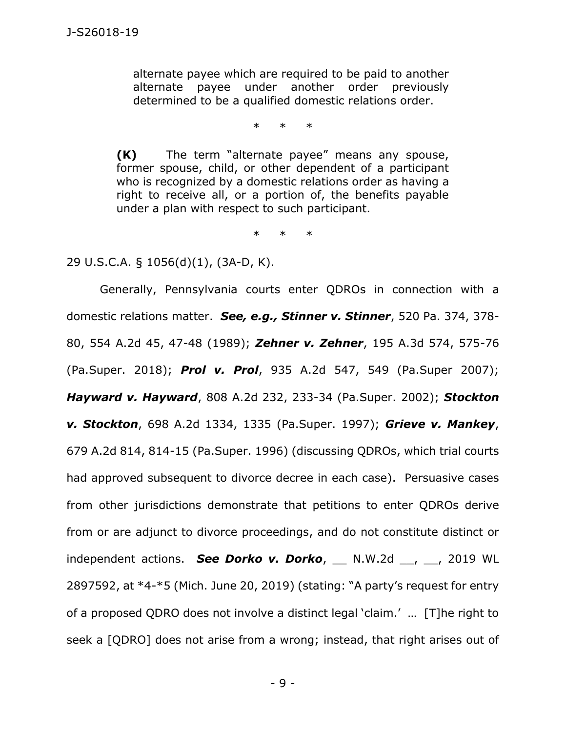alternate payee which are required to be paid to another alternate payee under another order previously determined to be a qualified domestic relations order.

\* \* \*

**(K)** The term "alternate payee" means any spouse, former spouse, child, or other dependent of a participant who is recognized by a domestic relations order as having a right to receive all, or a portion of, the benefits payable under a plan with respect to such participant.

\* \* \*

29 U.S.C.A. § 1056(d)(1), (3A-D, K).

Generally, Pennsylvania courts enter QDROs in connection with a domestic relations matter. *See, e.g., Stinner v. Stinner*, 520 Pa. 374, 378- 80, 554 A.2d 45, 47-48 (1989); *Zehner v. Zehner*, 195 A.3d 574, 575-76 (Pa.Super. 2018); *Prol v. Prol*, 935 A.2d 547, 549 (Pa.Super 2007); *Hayward v. Hayward*, 808 A.2d 232, 233-34 (Pa.Super. 2002); *Stockton v. Stockton*, 698 A.2d 1334, 1335 (Pa.Super. 1997); *Grieve v. Mankey*, 679 A.2d 814, 814-15 (Pa.Super. 1996) (discussing QDROs, which trial courts had approved subsequent to divorce decree in each case). Persuasive cases from other jurisdictions demonstrate that petitions to enter QDROs derive from or are adjunct to divorce proceedings, and do not constitute distinct or independent actions. *See Dorko v. Dorko*, \_\_ N.W.2d \_\_, \_\_, 2019 WL 2897592, at \*4-\*5 (Mich. June 20, 2019) (stating: "A party's request for entry of a proposed QDRO does not involve a distinct legal 'claim.' … [T]he right to seek a [QDRO] does not arise from a wrong; instead, that right arises out of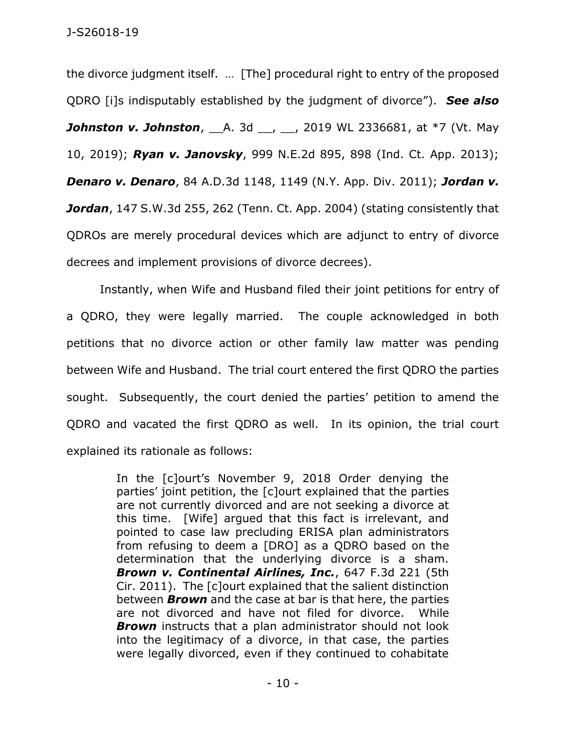the divorce judgment itself. … [The] procedural right to entry of the proposed QDRO [i]s indisputably established by the judgment of divorce"). *See also*  **Johnston v. Johnston**, A. 3d <sub>--</sub>, 1 2019 WL 2336681, at \*7 (Vt. May 10, 2019); *Ryan v. Janovsky*, 999 N.E.2d 895, 898 (Ind. Ct. App. 2013); *Denaro v. Denaro*, 84 A.D.3d 1148, 1149 (N.Y. App. Div. 2011); *Jordan v. Jordan*, 147 S.W.3d 255, 262 (Tenn. Ct. App. 2004) (stating consistently that QDROs are merely procedural devices which are adjunct to entry of divorce decrees and implement provisions of divorce decrees).

Instantly, when Wife and Husband filed their joint petitions for entry of a QDRO, they were legally married. The couple acknowledged in both petitions that no divorce action or other family law matter was pending between Wife and Husband. The trial court entered the first QDRO the parties sought. Subsequently, the court denied the parties' petition to amend the QDRO and vacated the first QDRO as well. In its opinion, the trial court explained its rationale as follows:

> In the [c]ourt's November 9, 2018 Order denying the parties' joint petition, the [c]ourt explained that the parties are not currently divorced and are not seeking a divorce at this time. [Wife] argued that this fact is irrelevant, and pointed to case law precluding ERISA plan administrators from refusing to deem a [DRO] as a QDRO based on the determination that the underlying divorce is a sham. *Brown v. Continental Airlines, Inc.*, 647 F.3d 221 (5th Cir. 2011). The [c]ourt explained that the salient distinction between *Brown* and the case at bar is that here, the parties are not divorced and have not filed for divorce. While *Brown* instructs that a plan administrator should not look into the legitimacy of a divorce, in that case, the parties were legally divorced, even if they continued to cohabitate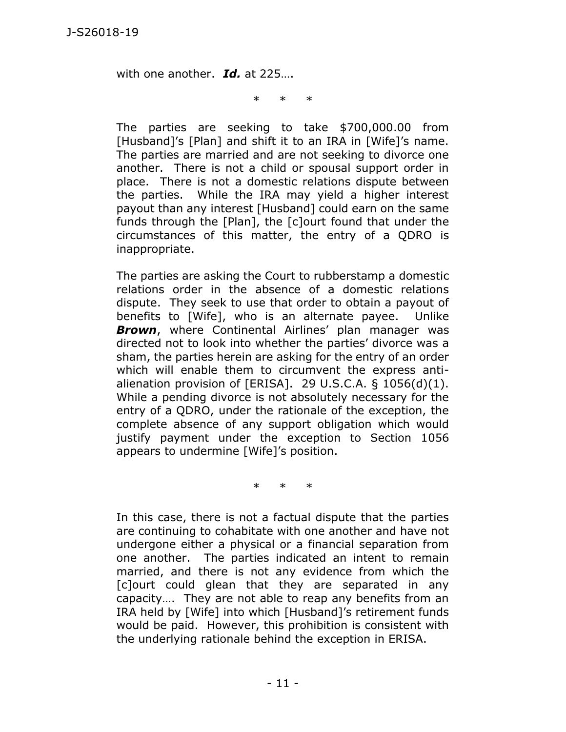with one another. *Id.* at 225….

\* \* \*

The parties are seeking to take \$700,000.00 from [Husband]'s [Plan] and shift it to an IRA in [Wife]'s name. The parties are married and are not seeking to divorce one another. There is not a child or spousal support order in place. There is not a domestic relations dispute between the parties. While the IRA may yield a higher interest payout than any interest [Husband] could earn on the same funds through the [Plan], the [c]ourt found that under the circumstances of this matter, the entry of a QDRO is inappropriate.

The parties are asking the Court to rubberstamp a domestic relations order in the absence of a domestic relations dispute. They seek to use that order to obtain a payout of benefits to [Wife], who is an alternate payee. Unlike *Brown*, where Continental Airlines' plan manager was directed not to look into whether the parties' divorce was a sham, the parties herein are asking for the entry of an order which will enable them to circumvent the express antialienation provision of  $[ERISA]$ . 29 U.S.C.A. § 1056(d)(1). While a pending divorce is not absolutely necessary for the entry of a QDRO, under the rationale of the exception, the complete absence of any support obligation which would justify payment under the exception to Section 1056 appears to undermine [Wife]'s position.

\* \* \*

In this case, there is not a factual dispute that the parties are continuing to cohabitate with one another and have not undergone either a physical or a financial separation from one another. The parties indicated an intent to remain married, and there is not any evidence from which the [c]ourt could glean that they are separated in any capacity…. They are not able to reap any benefits from an IRA held by [Wife] into which [Husband]'s retirement funds would be paid. However, this prohibition is consistent with the underlying rationale behind the exception in ERISA.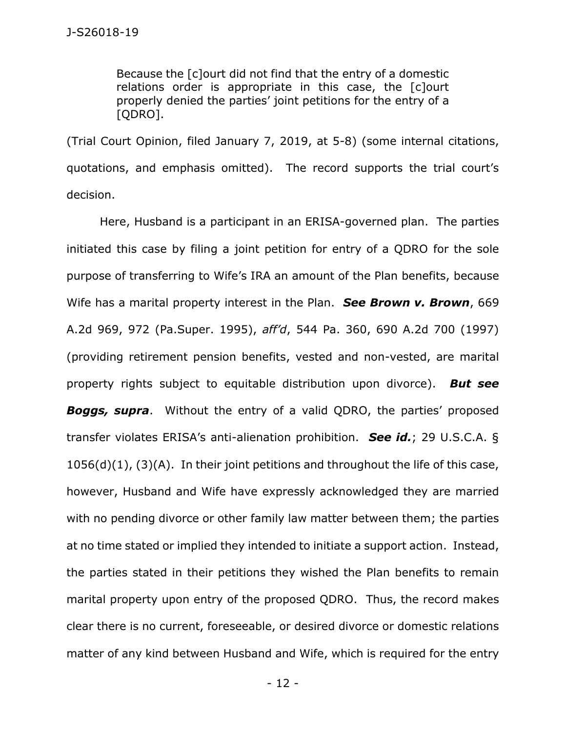Because the [c]ourt did not find that the entry of a domestic relations order is appropriate in this case, the [c]ourt properly denied the parties' joint petitions for the entry of a [QDRO].

(Trial Court Opinion, filed January 7, 2019, at 5-8) (some internal citations, quotations, and emphasis omitted). The record supports the trial court's decision.

Here, Husband is a participant in an ERISA-governed plan. The parties initiated this case by filing a joint petition for entry of a QDRO for the sole purpose of transferring to Wife's IRA an amount of the Plan benefits, because Wife has a marital property interest in the Plan. *See Brown v. Brown*, 669 A.2d 969, 972 (Pa.Super. 1995), *aff'd*, 544 Pa. 360, 690 A.2d 700 (1997) (providing retirement pension benefits, vested and non-vested, are marital property rights subject to equitable distribution upon divorce). *But see Boggs, supra*. Without the entry of a valid QDRO, the parties' proposed transfer violates ERISA's anti-alienation prohibition. *See id.*; 29 U.S.C.A. §  $1056(d)(1)$ ,  $(3)(A)$ . In their joint petitions and throughout the life of this case, however, Husband and Wife have expressly acknowledged they are married with no pending divorce or other family law matter between them; the parties at no time stated or implied they intended to initiate a support action. Instead, the parties stated in their petitions they wished the Plan benefits to remain marital property upon entry of the proposed QDRO. Thus, the record makes clear there is no current, foreseeable, or desired divorce or domestic relations matter of any kind between Husband and Wife, which is required for the entry